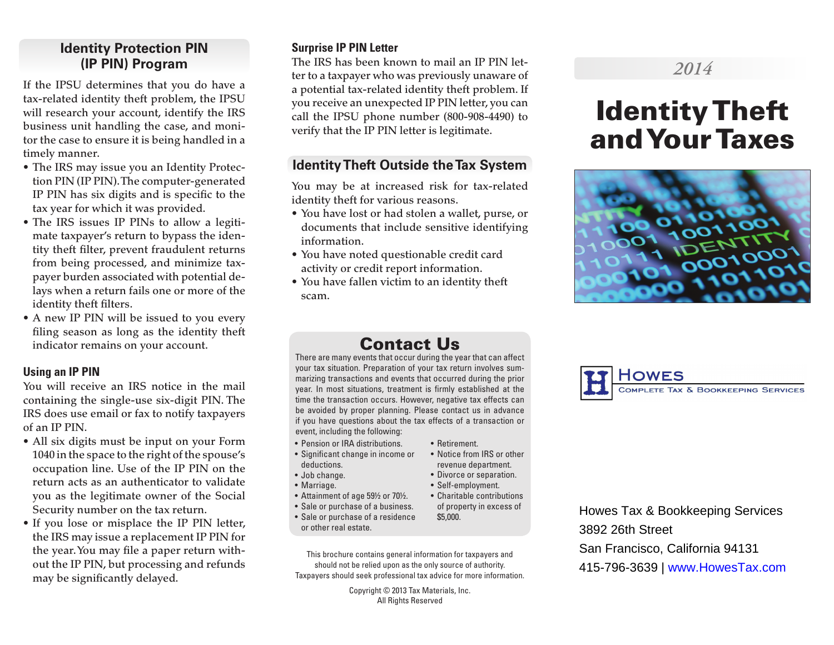# **Identity Protection PIN (IP PIN) Program**

If the IPSU determines that you do have a tax-related identity theft problem, the IPSU will research your account, identify the IRS business unit handling the case, and monitor the case to ensure it is being handled in a timely manner.

- The IRS may issue you an Identity Protection PIN (IP PIN). The computer-generated IP PIN has six digits and is specific to the tax year for which it was provided.
- The IRS issues IP PINs to allow a legitimate taxpayer's return to bypass the identity theft filter, prevent fraudulent returns from being processed, and minimize taxpayer burden associated with potential delays when a return fails one or more of the identity theft filters.
- A new IP PIN will be issued to you every filing season as long as the identity theft indicator remains on your account.

#### **Using an IP PIN**

You will receive an IRS notice in the mail containing the single-use six-digit PIN. The IRS does use email or fax to notify taxpayers of an IP PIN.

- All six digits must be input on your Form 1040 in the space to the right of the spouse's occupation line. Use of the IP PIN on the return acts as an authenticator to validate you as the legitimate owner of the Social Security number on the tax return.
- If you lose or misplace the IP PIN letter, the IRS may issue a replacement IP PIN for the year. You may file a paper return without the IP PIN, but processing and refunds may be significantly delayed.

#### **Surprise IP PIN Letter**

The IRS has been known to mail an IP PIN letter to a taxpayer who was previously unaware of a potential tax-related identity theft problem. If you receive an unexpected IP PIN letter, you can call the IPSU phone number (800-908-4490) to verify that the IP PIN letter is legitimate.

# **Identity Theft Outside the Tax System**

You may be at increased risk for tax-related identity theft for various reasons.

- You have lost or had stolen a wallet, purse, or documents that include sensitive identifying information.
- You have noted questionable credit card activity or credit report information.
- You have fallen victim to an identity theft scam.

# *2014*

# Identity Theft and Your Taxes



# Contact Us

There are many events that occur during the year that can affect your tax situation. Preparation of your tax return involves summarizing transactions and events that occurred during the prior year. In most situations, treatment is firmly established at the time the transaction occurs. However, negative tax effects can be avoided by proper planning. Please contact us in advance if you have questions about the tax effects of a transaction or event, including the following:

- Pension or IRA distributions.
- Significant change in income or deductions.
- Job change.
- Marriage.
- Attainment of age 59½ or 70½.
- Sale or purchase of a business.
- Sale or purchase of a residence or other real estate.
- This brochure contains general information for taxpayers and should not be relied upon as the only source of authority. Taxpayers should seek professional tax advice for more information.

Copyright © 2013 Tax Materials, Inc. All Rights Reserved



Howes Tax & Bookkeeping Services 3892 26th Street San Francisco, California 94131 415-796-3639 | www.HowesTax.com

- Retirement. • Notice from IRS or other
	- revenue department.
	- Divorce or separation.
	- Self-employment. • Charitable contributions
		- of property in excess of \$5,000.